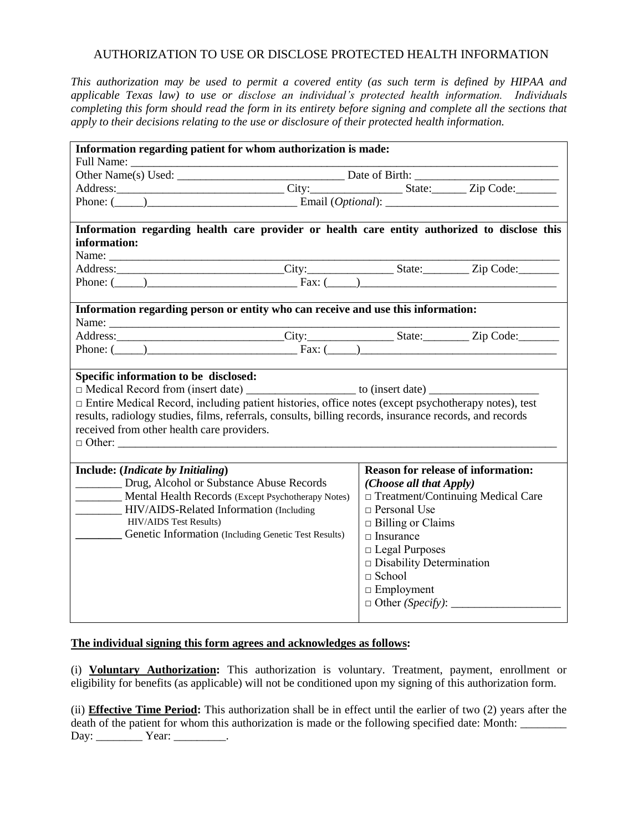## AUTHORIZATION TO USE OR DISCLOSE PROTECTED HEALTH INFORMATION

*This authorization may be used to permit a covered entity (as such term is defined by HIPAA and applicable Texas law) to use or disclose an individual's protected health information. Individuals completing this form should read the form in its entirety before signing and complete all the sections that apply to their decisions relating to the use or disclosure of their protected health information.*

| Information regarding patient for whom authorization is made:                                           |                                                                                              |                                           |  |  |
|---------------------------------------------------------------------------------------------------------|----------------------------------------------------------------------------------------------|-------------------------------------------|--|--|
|                                                                                                         |                                                                                              |                                           |  |  |
|                                                                                                         |                                                                                              |                                           |  |  |
|                                                                                                         |                                                                                              |                                           |  |  |
|                                                                                                         | Phone: $(\_\_\_\_\_\_\$ Email (Optional): $\_\_\_\_\_\_\_\_$                                 |                                           |  |  |
|                                                                                                         |                                                                                              |                                           |  |  |
|                                                                                                         | Information regarding health care provider or health care entity authorized to disclose this |                                           |  |  |
| information:                                                                                            |                                                                                              |                                           |  |  |
| Name:                                                                                                   |                                                                                              |                                           |  |  |
|                                                                                                         | Address: City: City: State: Zip Code:                                                        |                                           |  |  |
|                                                                                                         | Phone: $(\_\_)$                                                                              |                                           |  |  |
|                                                                                                         |                                                                                              |                                           |  |  |
|                                                                                                         | Information regarding person or entity who can receive and use this information:             |                                           |  |  |
|                                                                                                         |                                                                                              |                                           |  |  |
|                                                                                                         | Address: City: City: State: Zip Code:                                                        |                                           |  |  |
|                                                                                                         | Phone: $(\_\_)$                                                                              |                                           |  |  |
|                                                                                                         |                                                                                              |                                           |  |  |
| Specific information to be disclosed:                                                                   |                                                                                              |                                           |  |  |
|                                                                                                         |                                                                                              |                                           |  |  |
| □ Entire Medical Record, including patient histories, office notes (except psychotherapy notes), test   |                                                                                              |                                           |  |  |
| results, radiology studies, films, referrals, consults, billing records, insurance records, and records |                                                                                              |                                           |  |  |
| received from other health care providers.                                                              |                                                                                              |                                           |  |  |
|                                                                                                         |                                                                                              |                                           |  |  |
|                                                                                                         |                                                                                              |                                           |  |  |
| Include: (Indicate by Initialing)                                                                       |                                                                                              | <b>Reason for release of information:</b> |  |  |
| Drug, Alcohol or Substance Abuse Records                                                                |                                                                                              | (Choose all that Apply)                   |  |  |
| Mental Health Records (Except Psychotherapy Notes)                                                      |                                                                                              | □ Treatment/Continuing Medical Care       |  |  |
| HIV/AIDS-Related Information (Including                                                                 |                                                                                              | $\Box$ Personal Use                       |  |  |
| <b>HIV/AIDS</b> Test Results)                                                                           |                                                                                              | $\Box$ Billing or Claims                  |  |  |
| <b>Cenetic Information</b> (Including Genetic Test Results)                                             |                                                                                              | $\Box$ Insurance                          |  |  |
|                                                                                                         |                                                                                              | $\Box$ Legal Purposes                     |  |  |
|                                                                                                         |                                                                                              | $\square$ Disability Determination        |  |  |
|                                                                                                         |                                                                                              | $\Box$ School                             |  |  |
|                                                                                                         |                                                                                              | $\Box$ Employment                         |  |  |
|                                                                                                         |                                                                                              |                                           |  |  |
|                                                                                                         |                                                                                              |                                           |  |  |
|                                                                                                         |                                                                                              |                                           |  |  |

## **The individual signing this form agrees and acknowledges as follows:**

(i) **Voluntary Authorization:** This authorization is voluntary. Treatment, payment, enrollment or eligibility for benefits (as applicable) will not be conditioned upon my signing of this authorization form.

(ii) **Effective Time Period:** This authorization shall be in effect until the earlier of two (2) years after the death of the patient for whom this authorization is made or the following specified date: Month: Day: \_\_\_\_\_\_\_\_\_\_\_ Year: \_\_\_\_\_\_\_\_\_\_.